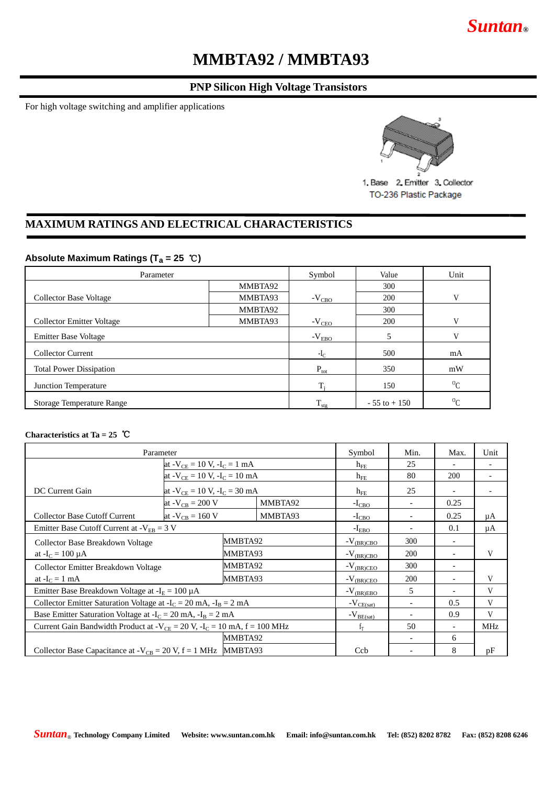## *Suntan***®**

# **MMBTA92 / MMBTA93**

## **PNP Silicon High Voltage Transistors**

For high voltage switching and amplifier applications



1. Base 2. Emitter 3. Collector TO-236 Plastic Package

## **MAXIMUM RATINGS AND ELECTRICAL CHARACTERISTICS**

### **Absolute Maximum Ratings (T<sup>a</sup> = 25** ℃**)**

| Parameter                        | Symbol           | Value            | Unit            |           |
|----------------------------------|------------------|------------------|-----------------|-----------|
|                                  | MMBTA92          |                  | 300             |           |
| <b>Collector Base Voltage</b>    | MMBTA93          | $-V_{CBO}$       | 200             | V         |
|                                  | MMBTA92          |                  | 300             |           |
| Collector Emitter Voltage        | MMBTA93          | $-V_{\rm CEO}$   | 200             | V         |
| Emitter Base Voltage             | $-V_{EBO}$       | 5                | $\mathbf{V}$    |           |
| <b>Collector Current</b>         | $-I_{C}$         | 500              | mA              |           |
| <b>Total Power Dissipation</b>   | $P_{\text{tot}}$ | 350              | mW              |           |
| Junction Temperature             |                  |                  | 150             | ${}^{0}C$ |
| <b>Storage Temperature Range</b> |                  | $T_{\text{stg}}$ | $-55$ to $+150$ | ${}^{0}C$ |

#### **Characteristics at Ta = 25** ℃

| Parameter                                                                         |                       |                                               | Symbol         | Min.                    | Max.                     | Unit                         |    |
|-----------------------------------------------------------------------------------|-----------------------|-----------------------------------------------|----------------|-------------------------|--------------------------|------------------------------|----|
|                                                                                   |                       | at - $V_{CE}$ = 10 V, -I <sub>C</sub> = 1 mA  |                |                         | 25                       |                              |    |
|                                                                                   |                       | at - $V_{CE}$ = 10 V, -I <sub>C</sub> = 10 mA |                |                         | 80                       | <b>200</b>                   |    |
| DC Current Gain                                                                   |                       | at - $V_{CE}$ = 10 V, -I <sub>C</sub> = 30 mA |                |                         | 25                       | $\qquad \qquad \blacksquare$ |    |
|                                                                                   | at $-V_{CB} = 200 V$  |                                               | MMBTA92        | $-I_{CBO}$              | $\overline{\phantom{0}}$ | 0.25                         |    |
| <b>Collector Base Cutoff Current</b>                                              | at - $V_{CB} = 160 V$ |                                               | MMBTA93        | $-I_{CBO}$              |                          | 0.25                         | μA |
| Emitter Base Cutoff Current at $-V_{FB} = 3 V$                                    |                       |                                               | $-I_{EBO}$     |                         | 0.1                      | μA                           |    |
| Collector Base Breakdown Voltage                                                  |                       | MMBTA92                                       |                | $-V_{(BR)CBO}$          | 300                      |                              |    |
| at $-I_C = 100 \mu A$                                                             |                       | MMBTA93                                       |                | $-V_{\frac{(BR)CBO}{}}$ | 200                      | $\overline{\phantom{a}}$     | V  |
| Collector Emitter Breakdown Voltage                                               |                       | MMBTA92                                       |                | $-V_{(BR)CEO}$          | 300                      | ۰                            |    |
| at $-IC = 1$ mA                                                                   |                       | MMBTA93                                       |                | $-V_{(BR)CEO}$          | 200                      | ۰                            | V  |
| Emitter Base Breakdown Voltage at $-IE = 100 \mu A$                               |                       |                                               | $-V_{(BR)EBO}$ | 5                       |                          | V                            |    |
| Collector Emitter Saturation Voltage at $-I_C = 20$ mA, $-I_B = 2$ mA             |                       |                                               | $-V_{CE(sat)}$ |                         | 0.5                      | V                            |    |
| Base Emitter Saturation Voltage at $-I_C = 20$ mA, $-I_B = 2$ mA                  |                       |                                               | $-V_{BE(sat)}$ |                         | 0.9                      | V                            |    |
| Current Gain Bandwidth Product at - $V_{CE}$ = 20 V, - $I_C$ = 10 mA, f = 100 MHz |                       |                                               | $f_T$          | 50                      | $\overline{\phantom{a}}$ | <b>MHz</b>                   |    |
|                                                                                   |                       | MMBTA92                                       |                |                         | $\overline{\phantom{0}}$ | 6                            |    |
| Collector Base Capacitance at $-V_{CB} = 20 V$ , $f = 1 MHz$ MHz MMBTA93          |                       |                                               |                | Ccb                     |                          | 8                            | pF |